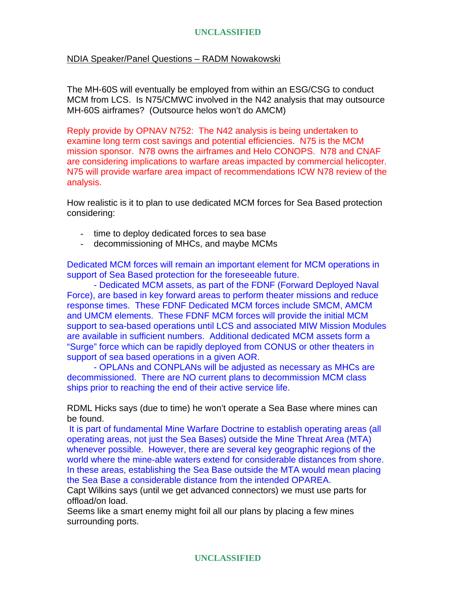# **UNCLASSIFIED**

## NDIA Speaker/Panel Questions – RADM Nowakowski

The MH-60S will eventually be employed from within an ESG/CSG to conduct MCM from LCS. Is N75/CMWC involved in the N42 analysis that may outsource MH-60S airframes? (Outsource helos won't do AMCM)

Reply provide by OPNAV N752: The N42 analysis is being undertaken to examine long term cost savings and potential efficiencies. N75 is the MCM mission sponsor. N78 owns the airframes and Helo CONOPS. N78 and CNAF are considering implications to warfare areas impacted by commercial helicopter. N75 will provide warfare area impact of recommendations ICW N78 review of the analysis.

How realistic is it to plan to use dedicated MCM forces for Sea Based protection considering:

- time to deploy dedicated forces to sea base
- decommissioning of MHCs, and maybe MCMs

Dedicated MCM forces will remain an important element for MCM operations in support of Sea Based protection for the foreseeable future.

 - Dedicated MCM assets, as part of the FDNF (Forward Deployed Naval Force), are based in key forward areas to perform theater missions and reduce response times. These FDNF Dedicated MCM forces include SMCM, AMCM and UMCM elements. These FDNF MCM forces will provide the initial MCM support to sea-based operations until LCS and associated MIW Mission Modules are available in sufficient numbers. Additional dedicated MCM assets form a "Surge" force which can be rapidly deployed from CONUS or other theaters in support of sea based operations in a given AOR.

 - OPLANs and CONPLANs will be adjusted as necessary as MHCs are decommissioned. There are NO current plans to decommission MCM class ships prior to reaching the end of their active service life.

RDML Hicks says (due to time) he won't operate a Sea Base where mines can be found.

It is part of fundamental Mine Warfare Doctrine to establish operating areas (all operating areas, not just the Sea Bases) outside the Mine Threat Area (MTA) whenever possible. However, there are several key geographic regions of the world where the mine-able waters extend for considerable distances from shore. In these areas, establishing the Sea Base outside the MTA would mean placing the Sea Base a considerable distance from the intended OPAREA.

Capt Wilkins says (until we get advanced connectors) we must use parts for offload/on load.

Seems like a smart enemy might foil all our plans by placing a few mines surrounding ports.

**UNCLASSIFIED**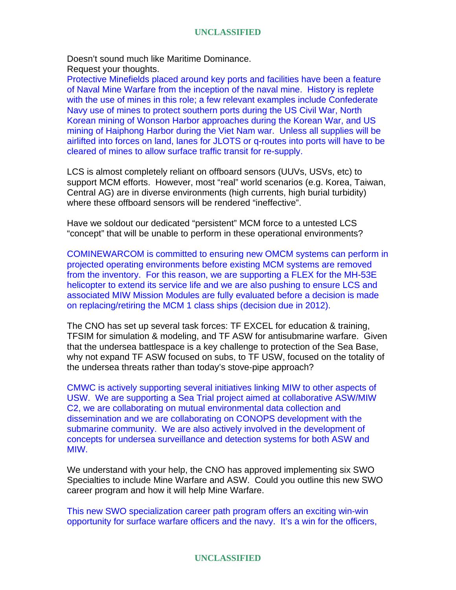#### **UNCLASSIFIED**

Doesn't sound much like Maritime Dominance. Request your thoughts.

Protective Minefields placed around key ports and facilities have been a feature of Naval Mine Warfare from the inception of the naval mine. History is replete with the use of mines in this role; a few relevant examples include Confederate Navy use of mines to protect southern ports during the US Civil War, North Korean mining of Wonson Harbor approaches during the Korean War, and US mining of Haiphong Harbor during the Viet Nam war. Unless all supplies will be airlifted into forces on land, lanes for JLOTS or q-routes into ports will have to be cleared of mines to allow surface traffic transit for re-supply.

LCS is almost completely reliant on offboard sensors (UUVs, USVs, etc) to support MCM efforts. However, most "real" world scenarios (e.g. Korea, Taiwan, Central AG) are in diverse environments (high currents, high burial turbidity) where these offboard sensors will be rendered "ineffective".

Have we soldout our dedicated "persistent" MCM force to a untested LCS "concept" that will be unable to perform in these operational environments?

COMINEWARCOM is committed to ensuring new OMCM systems can perform in projected operating environments before existing MCM systems are removed from the inventory. For this reason, we are supporting a FLEX for the MH-53E helicopter to extend its service life and we are also pushing to ensure LCS and associated MIW Mission Modules are fully evaluated before a decision is made on replacing/retiring the MCM 1 class ships (decision due in 2012).

The CNO has set up several task forces: TF EXCEL for education & training, TFSIM for simulation & modeling, and TF ASW for antisubmarine warfare. Given that the undersea battlespace is a key challenge to protection of the Sea Base, why not expand TF ASW focused on subs, to TF USW, focused on the totality of the undersea threats rather than today's stove-pipe approach?

CMWC is actively supporting several initiatives linking MIW to other aspects of USW. We are supporting a Sea Trial project aimed at collaborative ASW/MIW C2, we are collaborating on mutual environmental data collection and dissemination and we are collaborating on CONOPS development with the submarine community. We are also actively involved in the development of concepts for undersea surveillance and detection systems for both ASW and MIW.

We understand with your help, the CNO has approved implementing six SWO Specialties to include Mine Warfare and ASW. Could you outline this new SWO career program and how it will help Mine Warfare.

This new SWO specialization career path program offers an exciting win-win opportunity for surface warfare officers and the navy. It's a win for the officers,

#### **UNCLASSIFIED**